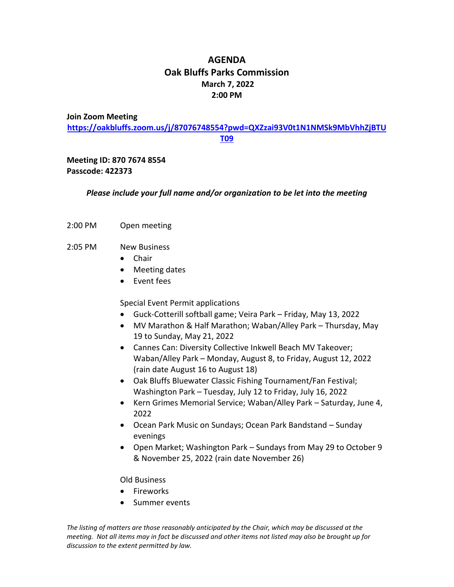# **AGENDA Oak Bluffs Parks Commission March 7, 2022 2:00 PM**

#### **Join Zoom Meeting**

**[https://oakbluffs.zoom.us/j/87076748554?pwd=QXZzai93V0t1N1NMSk9MbVhhZjBTU](https://oakbluffs.zoom.us/j/87076748554?pwd=QXZzai93V0t1N1NMSk9MbVhhZjBTUT09) [T09](https://oakbluffs.zoom.us/j/87076748554?pwd=QXZzai93V0t1N1NMSk9MbVhhZjBTUT09)**

# **Meeting ID: 870 7674 8554 Passcode: 422373**

## *Please include your full name and/or organization to be let into the meeting*

2:00 PM Open meeting

## 2:05 PM New Business

- Chair
- Meeting dates
- Event fees

## Special Event Permit applications

- Guck-Cotterill softball game; Veira Park Friday, May 13, 2022
- MV Marathon & Half Marathon; Waban/Alley Park Thursday, May 19 to Sunday, May 21, 2022
- Cannes Can: Diversity Collective Inkwell Beach MV Takeover; Waban/Alley Park – Monday, August 8, to Friday, August 12, 2022 (rain date August 16 to August 18)
- Oak Bluffs Bluewater Classic Fishing Tournament/Fan Festival; Washington Park – Tuesday, July 12 to Friday, July 16, 2022
- Kern Grimes Memorial Service; Waban/Alley Park Saturday, June 4, 2022
- Ocean Park Music on Sundays; Ocean Park Bandstand Sunday evenings
- Open Market; Washington Park Sundays from May 29 to October 9 & November 25, 2022 (rain date November 26)

#### Old Business

- Fireworks
- Summer events

*The listing of matters are those reasonably anticipated by the Chair, which may be discussed at the meeting. Not all items may in fact be discussed and other items not listed may also be brought up for discussion to the extent permitted by law.*